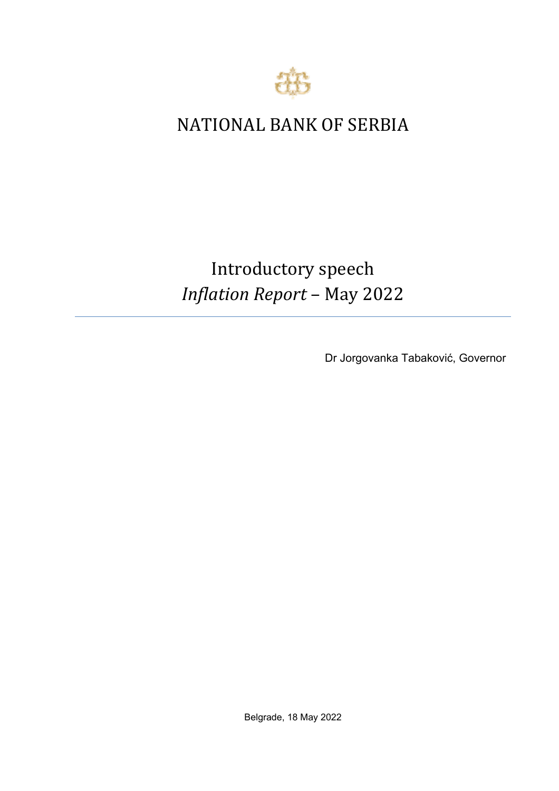

## NATIONAL BANK OF SERBIA

## Introductory speech *Inflation Report* – May 2022

Dr Jorgovanka Tabaković, Governor

Belgrade, 18 May 2022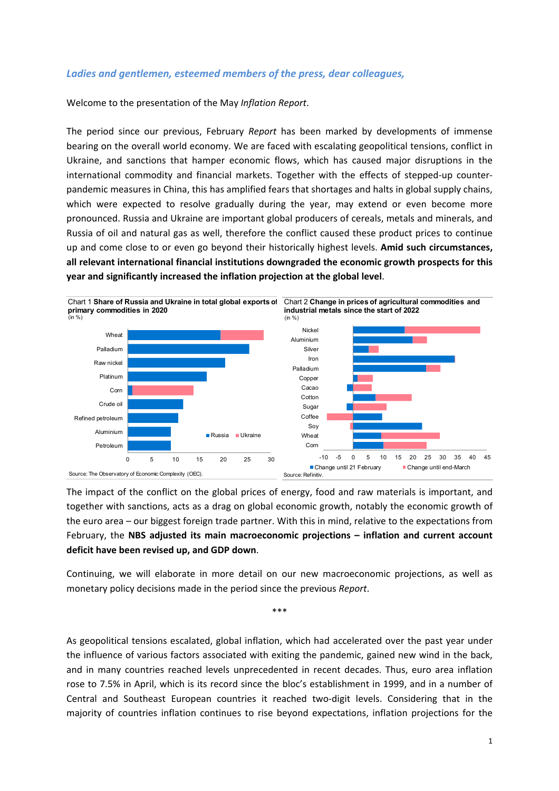## *Ladies and gentlemen, esteemed members of the press, dear colleagues,*

Welcome to the presentation of the May *Inflation Report*.

The period since our previous, February *Report* has been marked by developments of immense bearing on the overall world economy. We are faced with escalating geopolitical tensions, conflict in Ukraine, and sanctions that hamper economic flows, which has caused major disruptions in the international commodity and financial markets. Together with the effects of stepped-up counterpandemic measures in China, this has amplified fears that shortages and halts in global supply chains, which were expected to resolve gradually during the year, may extend or even become more pronounced. Russia and Ukraine are important global producers of cereals, metals and minerals, and Russia of oil and natural gas as well, therefore the conflict caused these product prices to continue up and come close to or even go beyond their historically highest levels. **Amid such circumstances, all relevant international financial institutions downgraded the economic growth prospects for this year and significantly increased the inflation projection at the global level**.



The impact of the conflict on the global prices of energy, food and raw materials is important, and together with sanctions, acts as a drag on global economic growth, notably the economic growth of the euro area – our biggest foreign trade partner. With this in mind, relative to the expectations from February, the **NBS adjusted its main macroeconomic projections – inflation and current account deficit have been revised up, and GDP down**.

Continuing, we will elaborate in more detail on our new macroeconomic projections, as well as monetary policy decisions made in the period since the previous *Report*.

\*\*\*

As geopolitical tensions escalated, global inflation, which had accelerated over the past year under the influence of various factors associated with exiting the pandemic, gained new wind in the back, and in many countries reached levels unprecedented in recent decades. Thus, euro area inflation rose to 7.5% in April, which is its record since the bloc's establishment in 1999, and in a number of Central and Southeast European countries it reached two-digit levels. Considering that in the majority of countries inflation continues to rise beyond expectations, inflation projections for the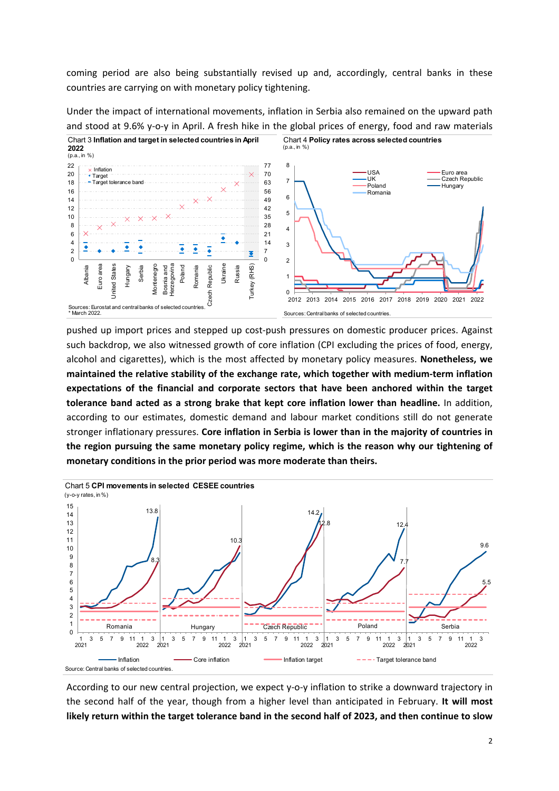coming period are also being substantially revised up and, accordingly, central banks in these countries are carrying on with monetary policy tightening.

Chart 3 **Inflation and target in selected countries in April**  Chart 4 **Policy rates across selected countries**  (p.a., in %) **2022** (p.a., in %) 22 8 77  $\times$  Inflation USA Euro area<br>·UK <del>e</del>Czech Re 20 70 Target UK Czech Republic<br>Poland Czech Republic 7 63 18 Target tolerance band **Hungary** 16 56 Romania 6  $\times$ 49 14  $\overline{\times}$ 12 42 5 35 10 8  $28$ 4 6  $\overline{\times}$ 21 ۰ 4 14 3 ₹  $\bar{\bullet}$ ₹ ≛ 2 7  $\overline{\bullet}$  $\Omega$  $\Omega$ 2 Euro area Herzegovina Poland Ukraine (RHS) Euro area **Jnited States** United States Vlontenegro Montenegro Herzegovina Republic Turkey (RHS) Albania Hungary Serbia Bosnia and Romania Czech Republic Russia Bosnia and 1 Turkey(  $\Omega$ Czech 2012 2013 2014 2015 2016 2017 2018 2019 2020 2021 2022 Sources: Eurostat and central banks of selected countries. \* March 2022. Sources: Central banks of selected countries.

Under the impact of international movements, inflation in Serbia also remained on the upward path and stood at 9.6% y-o-y in April. A fresh hike in the global prices of energy, food and raw materials

pushed up import prices and stepped up cost-push pressures on domestic producer prices. Against such backdrop, we also witnessed growth of core inflation (CPI excluding the prices of food, energy, alcohol and cigarettes), which is the most affected by monetary policy measures. **Nonetheless, we maintained the relative stability of the exchange rate, which together with medium‐term inflation expectations of the financial and corporate sectors that have been anchored within the target tolerance band acted as a strong brake that kept core inflation lower than headline.** In addition, according to our estimates, domestic demand and labour market conditions still do not generate stronger inflationary pressures. **Core inflation in Serbia is lower than in the majority of countries in the region pursuing the same monetary policy regime, which is the reason why our tightening of monetary conditions in the prior period was more moderate than theirs.** 



According to our new central projection, we expect y‐o‐y inflation to strike a downward trajectory in the second half of the year, though from a higher level than anticipated in February. **It will most likely return within the target tolerance band in the second half of 2023, and then continue to slow**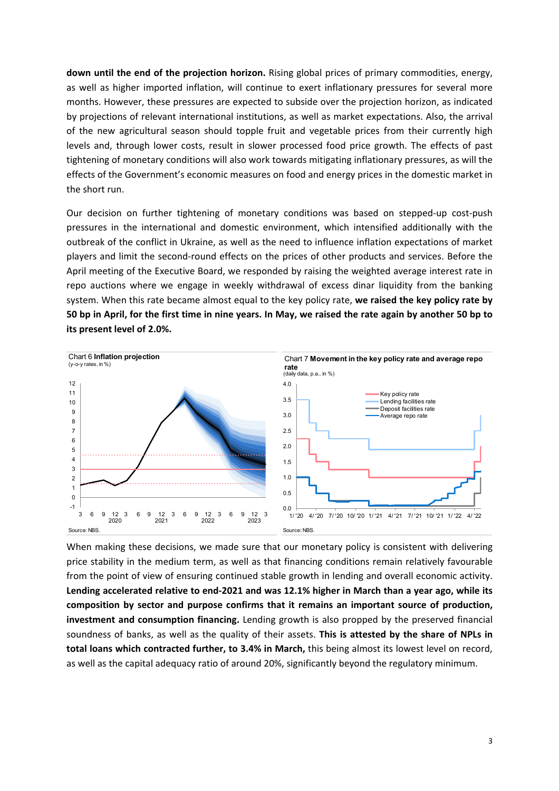**down until the end of the projection horizon.** Rising global prices of primary commodities, energy, as well as higher imported inflation, will continue to exert inflationary pressures for several more months. However, these pressures are expected to subside over the projection horizon, as indicated by projections of relevant international institutions, as well as market expectations. Also, the arrival of the new agricultural season should topple fruit and vegetable prices from their currently high levels and, through lower costs, result in slower processed food price growth. The effects of past tightening of monetary conditions will also work towards mitigating inflationary pressures, as will the effects of the Government's economic measures on food and energy prices in the domestic market in the short run.

Our decision on further tightening of monetary conditions was based on stepped‐up cost‐push pressures in the international and domestic environment, which intensified additionally with the outbreak of the conflict in Ukraine, as well as the need to influence inflation expectations of market players and limit the second‐round effects on the prices of other products and services. Before the April meeting of the Executive Board, we responded by raising the weighted average interest rate in repo auctions where we engage in weekly withdrawal of excess dinar liquidity from the banking system. When this rate became almost equal to the key policy rate, **we raised the key policy rate by 50 bp in April, for the first time in nine years. In May, we raised the rate again by another 50 bp to its present level of 2.0%.**



When making these decisions, we made sure that our monetary policy is consistent with delivering price stability in the medium term, as well as that financing conditions remain relatively favourable from the point of view of ensuring continued stable growth in lending and overall economic activity. **Lending accelerated relative to end‐2021 and was 12.1% higher in March than a year ago, while its composition by sector and purpose confirms that it remains an important source of production, investment and consumption financing.** Lending growth is also propped by the preserved financial soundness of banks, as well as the quality of their assets. **This is attested by the share of NPLs in total loans which contracted further, to 3.4% in March,** this being almost its lowest level on record, as well as the capital adequacy ratio of around 20%, significantly beyond the regulatory minimum.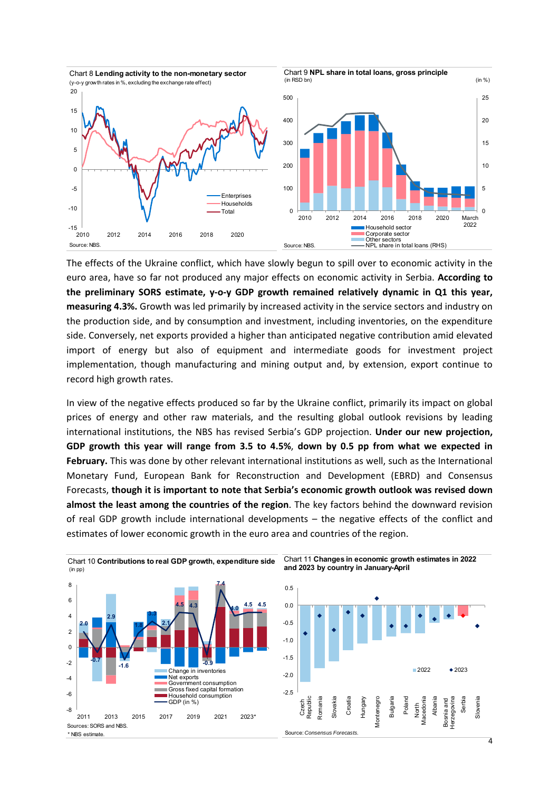

The effects of the Ukraine conflict, which have slowly begun to spill over to economic activity in the euro area, have so far not produced any major effects on economic activity in Serbia. **According to the preliminary SORS estimate, y‐o‐y GDP growth remained relatively dynamic in Q1 this year, measuring 4.3%.** Growth was led primarily by increased activity in the service sectors and industry on the production side, and by consumption and investment, including inventories, on the expenditure side. Conversely, net exports provided a higher than anticipated negative contribution amid elevated import of energy but also of equipment and intermediate goods for investment project implementation, though manufacturing and mining output and, by extension, export continue to record high growth rates.

In view of the negative effects produced so far by the Ukraine conflict, primarily its impact on global prices of energy and other raw materials, and the resulting global outlook revisions by leading international institutions, the NBS has revised Serbia's GDP projection. **Under our new projection, GDP growth this year will range from 3.5 to 4.5%**, **down by 0.5 pp from what we expected in February.** This was done by other relevant international institutions as well, such as the International Monetary Fund, European Bank for Reconstruction and Development (EBRD) and Consensus Forecasts, **though it is important to note that Serbia's economic growth outlook was revised down almost the least among the countries of the region**. The key factors behind the downward revision of real GDP growth include international developments – the negative effects of the conflict and estimates of lower economic growth in the euro area and countries of the region.

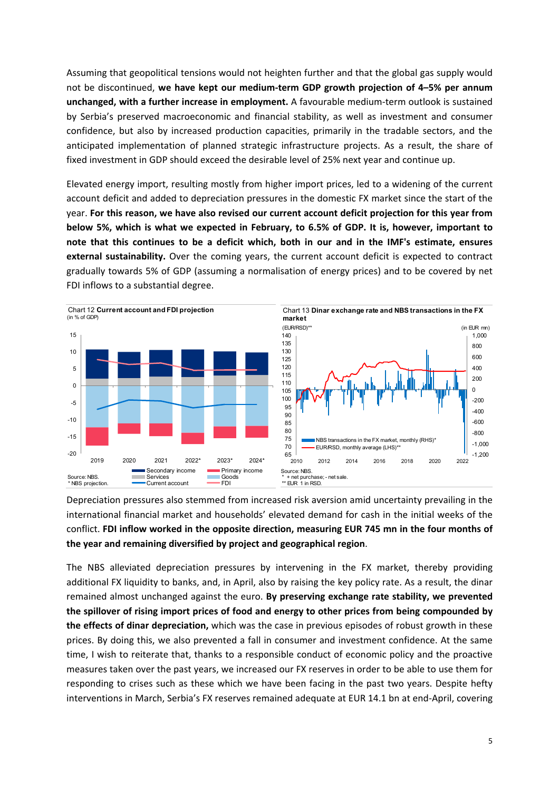Assuming that geopolitical tensions would not heighten further and that the global gas supply would not be discontinued, **we have kept our medium‐term GDP growth projection of 4–5% per annum unchanged, with a further increase in employment.** A favourable medium‐term outlook is sustained by Serbia's preserved macroeconomic and financial stability, as well as investment and consumer confidence, but also by increased production capacities, primarily in the tradable sectors, and the anticipated implementation of planned strategic infrastructure projects. As a result, the share of fixed investment in GDP should exceed the desirable level of 25% next year and continue up.

Elevated energy import, resulting mostly from higher import prices, led to a widening of the current account deficit and added to depreciation pressures in the domestic FX market since the start of the year. **For this reason, we have also revised our current account deficit projection for this year from below 5%, which is what we expected in February, to 6.5% of GDP. It is, however, important to note that this continues to be a deficit which, both in our and in the IMF's estimate, ensures external sustainability.** Over the coming years, the current account deficit is expected to contract gradually towards 5% of GDP (assuming a normalisation of energy prices) and to be covered by net FDI inflows to a substantial degree.



Depreciation pressures also stemmed from increased risk aversion amid uncertainty prevailing in the international financial market and households' elevated demand for cash in the initial weeks of the conflict. **FDI inflow worked in the opposite direction, measuring EUR 745 mn in the four months of the year and remaining diversified by project and geographical region**.

The NBS alleviated depreciation pressures by intervening in the FX market, thereby providing additional FX liquidity to banks, and, in April, also by raising the key policy rate. As a result, the dinar remained almost unchanged against the euro. **By preserving exchange rate stability, we prevented the spillover of rising import prices of food and energy to other prices from being compounded by the effects of dinar depreciation,** which was the case in previous episodes of robust growth in these prices. By doing this, we also prevented a fall in consumer and investment confidence. At the same time, I wish to reiterate that, thanks to a responsible conduct of economic policy and the proactive measures taken over the past years, we increased our FX reserves in order to be able to use them for responding to crises such as these which we have been facing in the past two years. Despite hefty interventions in March, Serbia's FX reserves remained adequate at EUR 14.1 bn at end‐April, covering